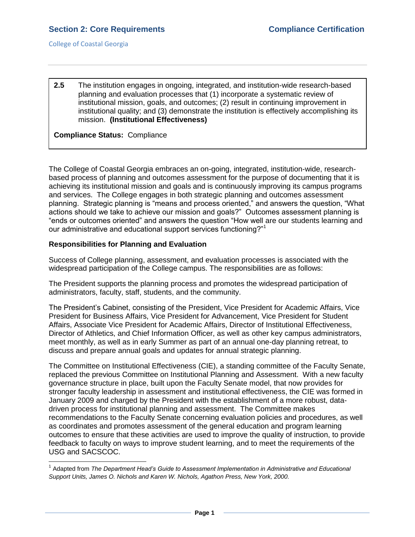**2.5** The institution engages in ongoing, integrated, and institution-wide research-based planning and evaluation processes that (1) incorporate a systematic review of institutional mission, goals, and outcomes; (2) result in continuing improvement in institutional quality; and (3) demonstrate the institution is effectively accomplishing its mission. **(Institutional Effectiveness)**

## **Compliance Status:** Compliance

The College of Coastal Georgia embraces an on-going, integrated, institution-wide, researchbased process of planning and outcomes assessment for the purpose of documenting that it is achieving its institutional mission and goals and is continuously improving its campus programs and services. The College engages in both strategic planning and outcomes assessment planning. Strategic planning is "means and process oriented," and answers the question, "What actions should we take to achieve our mission and goals?" Outcomes assessment planning is "ends or outcomes oriented" and answers the question "How well are our students learning and our administrative and educational support services functioning?"<sup>1</sup>

### **Responsibilities for Planning and Evaluation**

 $\overline{a}$ 

Success of College planning, assessment, and evaluation processes is associated with the widespread participation of the College campus. The responsibilities are as follows:

The President supports the planning process and promotes the widespread participation of administrators, faculty, staff, students, and the community.

The President's Cabinet, consisting of the President, Vice President for Academic Affairs, Vice President for Business Affairs, Vice President for Advancement, Vice President for Student Affairs, Associate Vice President for Academic Affairs, Director of Institutional Effectiveness, Director of Athletics, and Chief Information Officer, as well as other key campus administrators, meet monthly, as well as in early Summer as part of an annual one-day planning retreat, to discuss and prepare annual goals and updates for annual strategic planning.

The Committee on Institutional Effectiveness (CIE), a standing committee of the Faculty Senate, replaced the previous Committee on Institutional Planning and Assessment. With a new faculty governance structure in place, built upon the Faculty Senate model, that now provides for stronger faculty leadership in assessment and institutional effectiveness, the CIE was formed in January 2009 and charged by the President with the establishment of a more robust, datadriven process for institutional planning and assessment. The Committee makes recommendations to the Faculty Senate concerning evaluation policies and procedures, as well as coordinates and promotes assessment of the general education and program learning outcomes to ensure that these activities are used to improve the quality of instruction, to provide feedback to faculty on ways to improve student learning, and to meet the requirements of the USG and SACSCOC.

<sup>&</sup>lt;sup>1</sup> Adapted from *The Department Head's Guide to Assessment Implementation in Administrative and Educational Support Units, James O. Nichols and Karen W. Nichols, Agathon Press, New York, 2000.*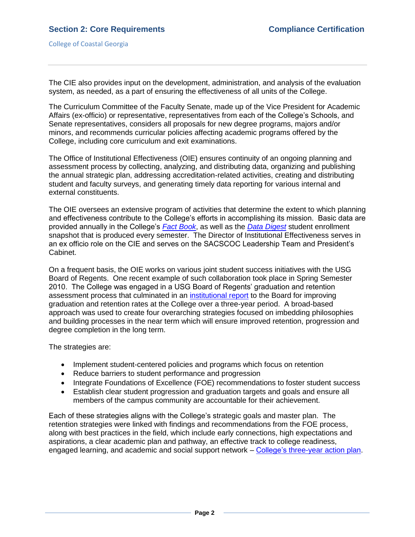The CIE also provides input on the development, administration, and analysis of the evaluation system, as needed, as a part of ensuring the effectiveness of all units of the College.

The Curriculum Committee of the Faculty Senate, made up of the Vice President for Academic Affairs (ex-officio) or representative, representatives from each of the College's Schools, and Senate representatives, considers all proposals for new degree programs, majors and/or minors, and recommends curricular policies affecting academic programs offered by the College, including core curriculum and exit examinations.

The Office of Institutional Effectiveness (OIE) ensures continuity of an ongoing planning and assessment process by collecting, analyzing, and distributing data, organizing and publishing the annual strategic plan, addressing accreditation-related activities, creating and distributing student and faculty surveys, and generating timely data reporting for various internal and external constituents.

The OIE oversees an extensive program of activities that determine the extent to which planning and effectiveness contribute to the College's efforts in accomplishing its mission. Basic data are provided annually in the College's *[Fact Book](CCGAfactbook.pdf#page=1)*, as well as the *[Data Digest](2.5.bCCGAf10datadigest.pdf#page=1)* student enrollment snapshot that is produced every semester. The Director of Institutional Effectiveness serves in an ex officio role on the CIE and serves on the SACSCOC Leadership Team and President's Cabinet.

On a frequent basis, the OIE works on various joint student success initiatives with the USG Board of Regents. One recent example of such collaboration took place in Spring Semester 2010. The College was engaged in a USG Board of Regents' graduation and retention assessment process that culminated in an [institutional report](2.5.cUSGgrad&retreport.pdf#page=1) to the Board for improving graduation and retention rates at the College over a three-year period. A broad-based approach was used to create four overarching strategies focused on imbedding philosophies and building processes in the near term which will ensure improved retention, progression and degree completion in the long term.

The strategies are:

- Implement student-centered policies and programs which focus on retention
- Reduce barriers to student performance and progression
- Integrate Foundations of Excellence (FOE) recommendations to foster student success
- Establish clear student progression and graduation targets and goals and ensure all members of the campus community are accountable for their achievement.

Each of these strategies aligns with the College's strategic goals and master plan. The retention strategies were linked with findings and recommendations from the FOE process, along with best practices in the field, which include early connections, high expectations and aspirations, a clear academic plan and pathway, an effective track to college readiness, engaged learning, and academic and social support network – [College's three-year action plan.](2.5.d3yractionstrategies.pdf#page=1)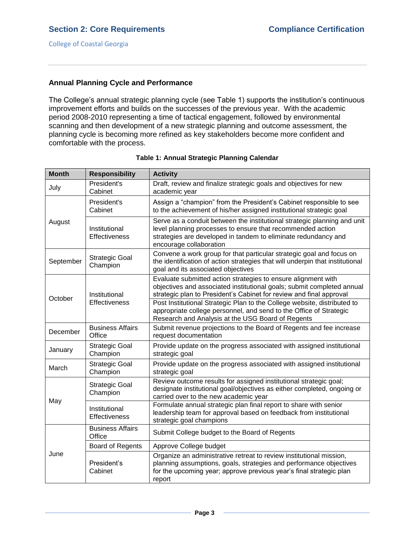## **Annual Planning Cycle and Performance**

The College's annual strategic planning cycle (see Table 1) supports the institution's continuous improvement efforts and builds on the successes of the previous year. With the academic period 2008-2010 representing a time of tactical engagement, followed by environmental scanning and then development of a new strategic planning and outcome assessment, the planning cycle is becoming more refined as key stakeholders become more confident and comfortable with the process.

| <b>Month</b> | <b>Responsibility</b>                 | <b>Activity</b>                                                                                                                                                                                                                     |
|--------------|---------------------------------------|-------------------------------------------------------------------------------------------------------------------------------------------------------------------------------------------------------------------------------------|
| July         | President's<br>Cabinet                | Draft, review and finalize strategic goals and objectives for new<br>academic year                                                                                                                                                  |
| August       | President's<br>Cabinet                | Assign a "champion" from the President's Cabinet responsible to see<br>to the achievement of his/her assigned institutional strategic goal                                                                                          |
|              | Institutional<br>Effectiveness        | Serve as a conduit between the institutional strategic planning and unit<br>level planning processes to ensure that recommended action<br>strategies are developed in tandem to eliminate redundancy and<br>encourage collaboration |
| September    | <b>Strategic Goal</b><br>Champion     | Convene a work group for that particular strategic goal and focus on<br>the identification of action strategies that will underpin that institutional<br>goal and its associated objectives                                         |
| October      | Institutional<br><b>Effectiveness</b> | Evaluate submitted action strategies to ensure alignment with<br>objectives and associated institutional goals; submit completed annual<br>strategic plan to President's Cabinet for review and final approval                      |
|              |                                       | Post Institutional Strategic Plan to the College website, distributed to<br>appropriate college personnel, and send to the Office of Strategic<br>Research and Analysis at the USG Board of Regents                                 |
| December     | <b>Business Affairs</b><br>Office     | Submit revenue projections to the Board of Regents and fee increase<br>request documentation                                                                                                                                        |
| January      | Strategic Goal<br>Champion            | Provide update on the progress associated with assigned institutional<br>strategic goal                                                                                                                                             |
| March        | <b>Strategic Goal</b><br>Champion     | Provide update on the progress associated with assigned institutional<br>strategic goal                                                                                                                                             |
| May          | <b>Strategic Goal</b><br>Champion     | Review outcome results for assigned institutional strategic goal;<br>designate institutional goal/objectives as either completed, ongoing or<br>carried over to the new academic year                                               |
|              | Institutional<br><b>Effectiveness</b> | Formulate annual strategic plan final report to share with senior<br>leadership team for approval based on feedback from institutional<br>strategic goal champions                                                                  |
| June         | <b>Business Affairs</b><br>Office     | Submit College budget to the Board of Regents                                                                                                                                                                                       |
|              | Board of Regents                      | Approve College budget                                                                                                                                                                                                              |
|              | President's<br>Cabinet                | Organize an administrative retreat to review institutional mission,<br>planning assumptions, goals, strategies and performance objectives<br>for the upcoming year; approve previous year's final strategic plan<br>report          |

#### **Table 1: Annual Strategic Planning Calendar**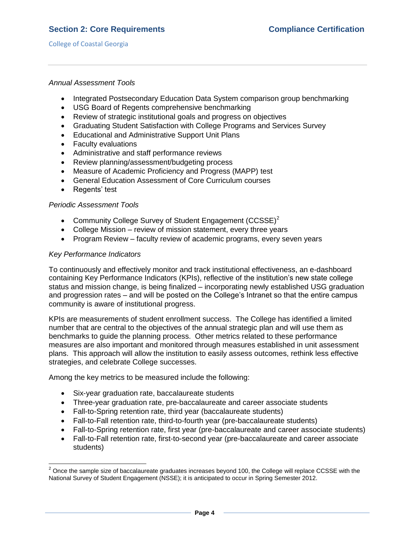### *Annual Assessment Tools*

- Integrated Postsecondary Education Data System comparison group benchmarking
- USG Board of Regents comprehensive benchmarking
- Review of strategic institutional goals and progress on objectives
- Graduating Student Satisfaction with College Programs and Services Survey
- Educational and Administrative Support Unit Plans
- Faculty evaluations
- Administrative and staff performance reviews
- Review planning/assessment/budgeting process
- Measure of Academic Proficiency and Progress (MAPP) test
- General Education Assessment of Core Curriculum courses
- Regents' test

### *Periodic Assessment Tools*

- Community College Survey of Student Engagement (CCSSE)<sup>2</sup>
- College Mission review of mission statement, every three years
- Program Review faculty review of academic programs, every seven years

### *Key Performance Indicators*

l

To continuously and effectively monitor and track institutional effectiveness, an e-dashboard containing Key Performance Indicators (KPIs), reflective of the institution's new state college status and mission change, is being finalized – incorporating newly established USG graduation and progression rates – and will be posted on the College's Intranet so that the entire campus community is aware of institutional progress.

KPIs are measurements of student enrollment success. The College has identified a limited number that are central to the objectives of the annual strategic plan and will use them as benchmarks to guide the planning process. Other metrics related to these performance measures are also important and monitored through measures established in unit assessment plans. This approach will allow the institution to easily assess outcomes, rethink less effective strategies, and celebrate College successes.

Among the key metrics to be measured include the following:

- Six-year graduation rate, baccalaureate students
- Three-year graduation rate, pre-baccalaureate and career associate students
- Fall-to-Spring retention rate, third year (baccalaureate students)
- Fall-to-Fall retention rate, third-to-fourth year (pre-baccalaureate students)
- Fall-to-Spring retention rate, first year (pre-baccalaureate and career associate students)
- Fall-to-Fall retention rate, first-to-second year (pre-baccalaureate and career associate students)

 $^2$  Once the sample size of baccalaureate graduates increases beyond 100, the College will replace CCSSE with the National Survey of Student Engagement (NSSE); it is anticipated to occur in Spring Semester 2012.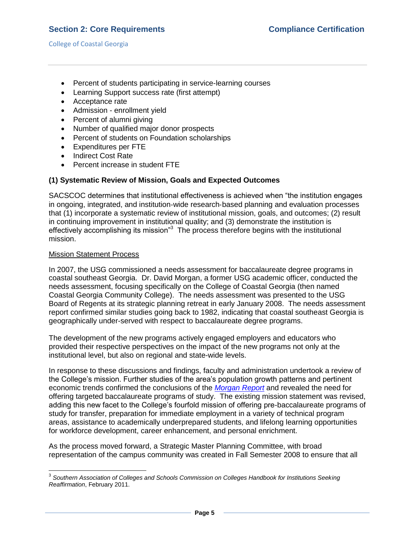- Percent of students participating in service-learning courses
- Learning Support success rate (first attempt)
- Acceptance rate
- Admission enrollment yield
- Percent of alumni giving
- Number of qualified major donor prospects
- Percent of students on Foundation scholarships
- Expenditures per FTE
- Indirect Cost Rate
- Percent increase in student FTE

## **(1) Systematic Review of Mission, Goals and Expected Outcomes**

SACSCOC determines that institutional effectiveness is achieved when "the institution engages in ongoing, integrated, and institution‐wide research‐based planning and evaluation processes that (1) incorporate a systematic review of institutional mission, goals, and outcomes; (2) result in continuing improvement in institutional quality; and (3) demonstrate the institution is effectively accomplishing its mission<sup>3</sup> The process therefore begins with the institutional mission.

### Mission Statement Process

In 2007, the USG commissioned a needs assessment for baccalaureate degree programs in coastal southeast Georgia. Dr. David Morgan, a former USG academic officer, conducted the needs assessment, focusing specifically on the College of Coastal Georgia (then named Coastal Georgia Community College). The needs assessment was presented to the USG Board of Regents at its strategic planning retreat in early January 2008. The needs assessment report confirmed similar studies going back to 1982, indicating that coastal southeast Georgia is geographically under-served with respect to baccalaureate degree programs.

The development of the new programs actively engaged employers and educators who provided their respective perspectives on the impact of the new programs not only at the institutional level, but also on regional and state-wide levels.

In response to these discussions and findings, faculty and administration undertook a review of the College's mission. Further studies of the area's population growth patterns and pertinent economic trends confirmed the conclusions of the *[Morgan Report](morganreport.pdf#page=1)* and revealed the need for offering targeted baccalaureate programs of study. The existing mission statement was revised, adding this new facet to the College's fourfold mission of offering pre-baccalaureate programs of study for transfer, preparation for immediate employment in a variety of technical program areas, assistance to academically underprepared students, and lifelong learning opportunities for workforce development, career enhancement, and personal enrichment.

As the process moved forward, a Strategic Master Planning Committee, with broad representation of the campus community was created in Fall Semester 2008 to ensure that all

 3 *Southern Association of Colleges and Schools Commission on Colleges Handbook for Institutions Seeking Reaffirmation*, February 2011.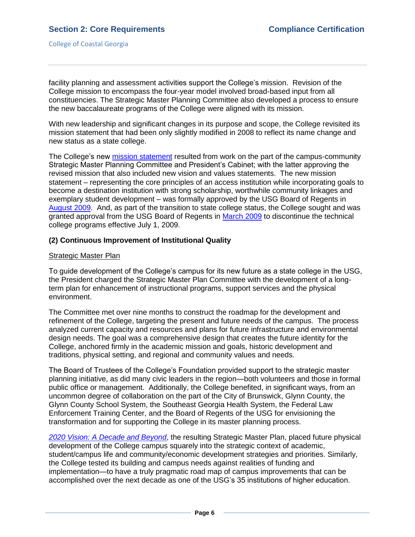facility planning and assessment activities support the College's mission. Revision of the College mission to encompass the four-year model involved broad-based input from all constituencies. The Strategic Master Planning Committee also developed a process to ensure the new baccalaureate programs of the College were aligned with its mission.

With new leadership and significant changes in its purpose and scope, the College revisited its mission statement that had been only slightly modified in 2008 to reflect its name change and new status as a state college.

The College's new [mission statement](MissionVisionValues.pdf#page=1) resulted from work on the part of the campus-community Strategic Master Planning Committee and President's Cabinet; with the latter approving the revised mission that also included new vision and values statements. The new mission statement – representing the core principles of an access institution while incorporating goals to become a destination institution with strong scholarship, worthwhile community linkages and exemplary student development – was formally approved by the USG Board of Regents in [August 2009.](2.1.hUSGBORmeetingminutes082009.pdf#page=12) And, as part of the transition to state college status, the College sought and was granted approval from the USG Board of Regents in [March 2009](2.1.gUSGBORmar2009discontinuetech.pdf#page=1) to discontinue the technical college programs effective July 1, 2009.

### **(2) Continuous Improvement of Institutional Quality**

### Strategic Master Plan

To guide development of the College's campus for its new future as a state college in the USG, the President charged the Strategic Master Plan Committee with the development of a longterm plan for enhancement of instructional programs, support services and the physical environment.

The Committee met over nine months to construct the roadmap for the development and refinement of the College, targeting the present and future needs of the campus. The process analyzed current capacity and resources and plans for future infrastructure and environmental design needs. The goal was a comprehensive design that creates the future identity for the College, anchored firmly in the academic mission and goals, historic development and traditions, physical setting, and regional and community values and needs.

The Board of Trustees of the College's Foundation provided support to the strategic master planning initiative, as did many civic leaders in the region—both volunteers and those in formal public office or management. Additionally, the College benefited, in significant ways, from an uncommon degree of collaboration on the part of the City of Brunswick, Glynn County, the Glynn County School System, the Southeast Georgia Health System, the Federal Law Enforcement Training Center, and the Board of Regents of the USG for envisioning the transformation and for supporting the College in its master planning process.

*[2020 Vision: A Decade and Beyond](SMP2020Vision.pdf#page=1)*, the resulting Strategic Master Plan, placed future physical development of the College campus squarely into the strategic context of academic, student/campus life and community/economic development strategies and priorities. Similarly, the College tested its building and campus needs against realities of funding and implementation—to have a truly pragmatic road map of campus improvements that can be accomplished over the next decade as one of the USG's 35 institutions of higher education.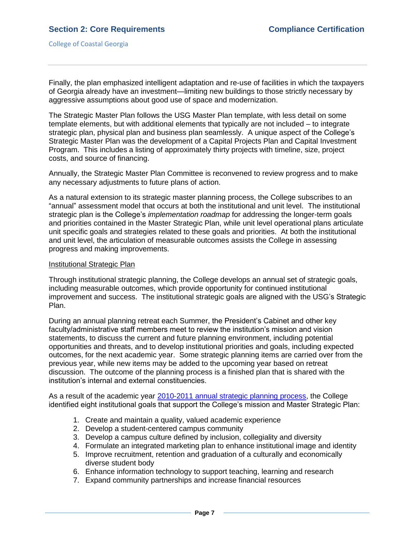College of Coastal Georgia

Finally, the plan emphasized intelligent adaptation and re-use of facilities in which the taxpayers of Georgia already have an investment—limiting new buildings to those strictly necessary by aggressive assumptions about good use of space and modernization.

The Strategic Master Plan follows the USG Master Plan template, with less detail on some template elements, but with additional elements that typically are not included – to integrate strategic plan, physical plan and business plan seamlessly. A unique aspect of the College's Strategic Master Plan was the development of a Capital Projects Plan and Capital Investment Program. This includes a listing of approximately thirty projects with timeline, size, project costs, and source of financing.

Annually, the Strategic Master Plan Committee is reconvened to review progress and to make any necessary adjustments to future plans of action.

As a natural extension to its strategic master planning process, the College subscribes to an ―annual‖ assessment model that occurs at both the institutional and unit level. The institutional strategic plan is the College's *implementation roadmap* for addressing the longer-term goals and priorities contained in the Master Strategic Plan, while unit level operational plans articulate unit specific goals and strategies related to these goals and priorities. At both the institutional and unit level, the articulation of measurable outcomes assists the College in assessing progress and making improvements.

### Institutional Strategic Plan

Through institutional strategic planning, the College develops an annual set of strategic goals, including measurable outcomes, which provide opportunity for continued institutional improvement and success. The institutional strategic goals are aligned with the USG's Strategic Plan.

During an annual planning retreat each Summer, the President's Cabinet and other key faculty/administrative staff members meet to review the institution's mission and vision statements, to discuss the current and future planning environment, including potential opportunities and threats, and to develop institutional priorities and goals, including expected outcomes, for the next academic year. Some strategic planning items are carried over from the previous year, while new items may be added to the upcoming year based on retreat discussion. The outcome of the planning process is a finished plan that is shared with the institution's internal and external constituencies.

As a result of the academic year [2010-2011 annual strategic planning process,](3.11.2.bCCGA10-11AnnualStrategicPlan.pdf#page=1) the College identified eight institutional goals that support the College's mission and Master Strategic Plan:

- 1. Create and maintain a quality, valued academic experience
- 2. Develop a student-centered campus community
- 3. Develop a campus culture defined by inclusion, collegiality and diversity
- 4. Formulate an integrated marketing plan to enhance institutional image and identity
- 5. Improve recruitment, retention and graduation of a culturally and economically diverse student body
- 6. Enhance information technology to support teaching, learning and research
- 7. Expand community partnerships and increase financial resources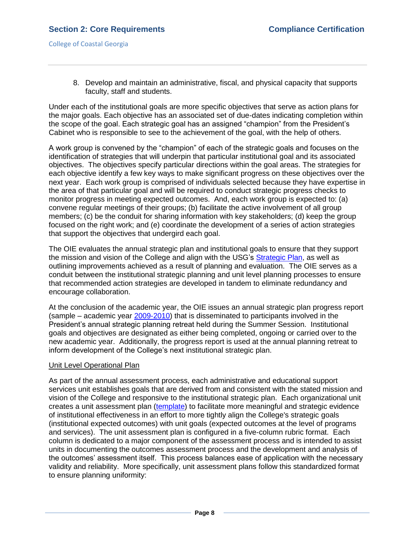8. Develop and maintain an administrative, fiscal, and physical capacity that supports faculty, staff and students.

Under each of the institutional goals are more specific objectives that serve as action plans for the major goals. Each objective has an associated set of due-dates indicating completion within the scope of the goal. Each strategic goal has an assigned "champion" from the President's Cabinet who is responsible to see to the achievement of the goal, with the help of others.

A work group is convened by the "champion" of each of the strategic goals and focuses on the identification of strategies that will underpin that particular institutional goal and its associated objectives. The objectives specify particular directions within the goal areas. The strategies for each objective identify a few key ways to make significant progress on these objectives over the next year. Each work group is comprised of individuals selected because they have expertise in the area of that particular goal and will be required to conduct strategic progress checks to monitor progress in meeting expected outcomes. And, each work group is expected to: (a) convene regular meetings of their groups; (b) facilitate the active involvement of all group members; (c) be the conduit for sharing information with key stakeholders; (d) keep the group focused on the right work; and (e) coordinate the development of a series of action strategies that support the objectives that undergird each goal.

The OIE evaluates the annual strategic plan and institutional goals to ensure that they support the mission and vision of the College and align with the USG's [Strategic Plan,](2.5.kUSGstrategicplan.pdf#page=1) as well as outlining improvements achieved as a result of planning and evaluation. The OIE serves as a conduit between the institutional strategic planning and unit level planning processes to ensure that recommended action strategies are developed in tandem to eliminate redundancy and encourage collaboration.

At the conclusion of the academic year, the OIE issues an annual strategic plan progress report (sample – academic year [2009-2010\)](2.5.lCCGA09-10ASPfinalreport.pdf#page=1) that is disseminated to participants involved in the President's annual strategic planning retreat held during the Summer Session. Institutional goals and objectives are designated as either being completed, ongoing or carried over to the new academic year. Additionally, the progress report is used at the annual planning retreat to inform development of the College's next institutional strategic plan.

### Unit Level Operational Plan

As part of the annual assessment process, each administrative and educational support services unit establishes goals that are derived from and consistent with the stated mission and vision of the College and responsive to the institutional strategic plan. Each organizational unit creates a unit assessment plan [\(template\)](2.5.UnitAssessmentPlanForm.pdf#page=1) to facilitate more meaningful and strategic evidence of institutional effectiveness in an effort to more tightly align the College's strategic goals (institutional expected outcomes) with unit goals (expected outcomes at the level of programs and services). The unit assessment plan is configured in a five-column rubric format. Each column is dedicated to a major component of the assessment process and is intended to assist units in documenting the outcomes assessment process and the development and analysis of the outcomes' assessment itself. This process balances ease of application with the necessary validity and reliability. More specifically, unit assessment plans follow this standardized format to ensure planning uniformity: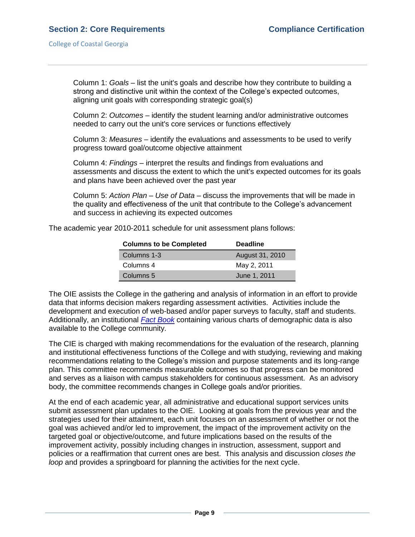Column 1: *Goals* – list the unit's goals and describe how they contribute to building a strong and distinctive unit within the context of the College's expected outcomes, aligning unit goals with corresponding strategic goal(s)

Column 2: *Outcomes* – identify the student learning and/or administrative outcomes needed to carry out the unit's core services or functions effectively

Column 3: *Measures* – identify the evaluations and assessments to be used to verify progress toward goal/outcome objective attainment

Column 4: *Findings* – interpret the results and findings from evaluations and assessments and discuss the extent to which the unit's expected outcomes for its goals and plans have been achieved over the past year

Column 5: *Action Plan – Use of Data* – discuss the improvements that will be made in the quality and effectiveness of the unit that contribute to the College's advancement and success in achieving its expected outcomes

The academic year 2010-2011 schedule for unit assessment plans follows:

| <b>Columns to be Completed</b> | <b>Deadline</b> |
|--------------------------------|-----------------|
| Columns 1-3                    | August 31, 2010 |
| Columns 4                      | May 2, 2011     |
| Columns 5                      | June 1, 2011    |

The OIE assists the College in the gathering and analysis of information in an effort to provide data that informs decision makers regarding assessment activities. Activities include the development and execution of web-based and/or paper surveys to faculty, staff and students. Additionally, an institutional *[Fact Book](CCGAfactbook.pdf#page=1)* containing various charts of demographic data is also available to the College community.

The CIE is charged with making recommendations for the evaluation of the research, planning and institutional effectiveness functions of the College and with studying, reviewing and making recommendations relating to the College's mission and purpose statements and its long-range plan. This committee recommends measurable outcomes so that progress can be monitored and serves as a liaison with campus stakeholders for continuous assessment. As an advisory body, the committee recommends changes in College goals and/or priorities.

At the end of each academic year, all administrative and educational support services units submit assessment plan updates to the OIE. Looking at goals from the previous year and the strategies used for their attainment, each unit focuses on an assessment of whether or not the goal was achieved and/or led to improvement, the impact of the improvement activity on the targeted goal or objective/outcome, and future implications based on the results of the improvement activity, possibly including changes in instruction, assessment, support and policies or a reaffirmation that current ones are best. This analysis and discussion *closes the loop* and provides a springboard for planning the activities for the next cycle.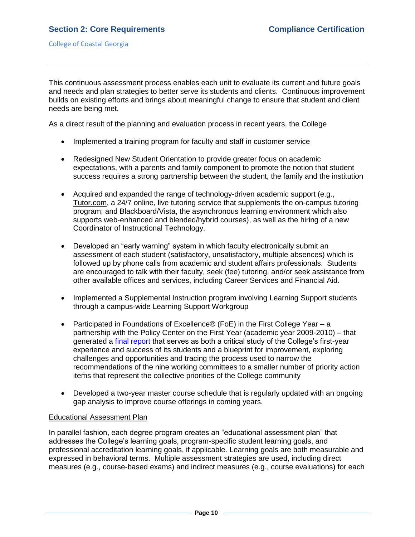This continuous assessment process enables each unit to evaluate its current and future goals and needs and plan strategies to better serve its students and clients. Continuous improvement builds on existing efforts and brings about meaningful change to ensure that student and client needs are being met.

As a direct result of the planning and evaluation process in recent years, the College

- Implemented a training program for faculty and staff in customer service
- Redesigned New Student Orientation to provide greater focus on academic expectations, with a parents and family component to promote the notion that student success requires a strong partnership between the student, the family and the institution
- Acquired and expanded the range of technology-driven academic support (e.g., Tutor.com, a 24/7 online, live tutoring service that supplements the on-campus tutoring program; and Blackboard/Vista, the asynchronous learning environment which also supports web-enhanced and blended/hybrid courses), as well as the hiring of a new Coordinator of Instructional Technology.
- Developed an "early warning" system in which faculty electronically submit an assessment of each student (satisfactory, unsatisfactory, multiple absences) which is followed up by phone calls from academic and student affairs professionals. Students are encouraged to talk with their faculty, seek (fee) tutoring, and/or seek assistance from other available offices and services, including Career Services and Financial Aid.
- Implemented a Supplemental Instruction program involving Learning Support students through a campus-wide Learning Support Workgroup
- Participated in Foundations of Excellence® (FoE) in the First College Year a partnership with the Policy Center on the First Year (academic year 2009-2010) – that generated a [final report](FOEfinalreport.pdf#page=1) that serves as both a critical study of the College's first-year experience and success of its students and a blueprint for improvement, exploring challenges and opportunities and tracing the process used to narrow the recommendations of the nine working committees to a smaller number of priority action items that represent the collective priorities of the College community
- Developed a two-year master course schedule that is regularly updated with an ongoing gap analysis to improve course offerings in coming years.

### Educational Assessment Plan

In parallel fashion, each degree program creates an "educational assessment plan" that addresses the College's learning goals, program-specific student learning goals, and professional accreditation learning goals, if applicable. Learning goals are both measurable and expressed in behavioral terms. Multiple assessment strategies are used, including direct measures (e.g., course-based exams) and indirect measures (e.g., course evaluations) for each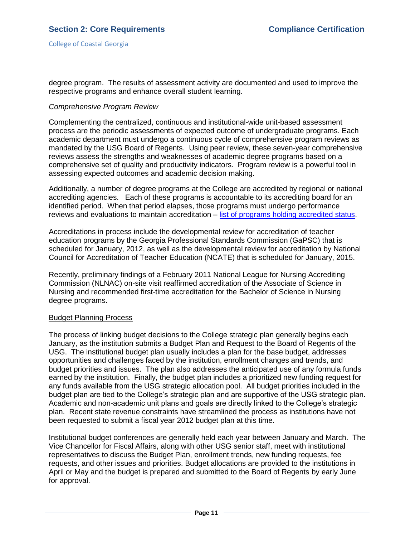degree program. The results of assessment activity are documented and used to improve the respective programs and enhance overall student learning.

### *Comprehensive Program Review*

Complementing the centralized, continuous and institutional-wide unit-based assessment process are the periodic assessments of expected outcome of undergraduate programs. Each academic department must undergo a continuous cycle of comprehensive program reviews as mandated by the USG Board of Regents. Using peer review, these seven-year comprehensive reviews assess the strengths and weaknesses of academic degree programs based on a comprehensive set of quality and productivity indicators. Program review is a powerful tool in assessing expected outcomes and academic decision making.

Additionally, a number of degree programs at the College are accredited by regional or national accrediting agencies. Each of these programs is accountable to its accrediting board for an identified period. When that period elapses, those programs must undergo performance reviews and evaluations to maintain accreditation – [list of programs holding accredited status.](ProgramSpecialAccreditation.pdf#page=1)

Accreditations in process include the developmental review for accreditation of teacher education programs by the Georgia Professional Standards Commission (GaPSC) that is scheduled for January, 2012, as well as the developmental review for accreditation by National Council for Accreditation of Teacher Education (NCATE) that is scheduled for January, 2015.

Recently, preliminary findings of a February 2011 National League for Nursing Accrediting Commission (NLNAC) on-site visit reaffirmed accreditation of the Associate of Science in Nursing and recommended first-time accreditation for the Bachelor of Science in Nursing degree programs.

#### Budget Planning Process

The process of linking budget decisions to the College strategic plan generally begins each January, as the institution submits a Budget Plan and Request to the Board of Regents of the USG. The institutional budget plan usually includes a plan for the base budget, addresses opportunities and challenges faced by the institution, enrollment changes and trends, and budget priorities and issues. The plan also addresses the anticipated use of any formula funds earned by the institution. Finally, the budget plan includes a prioritized new funding request for any funds available from the USG strategic allocation pool. All budget priorities included in the budget plan are tied to the College's strategic plan and are supportive of the USG strategic plan. Academic and non-academic unit plans and goals are directly linked to the College's strategic plan. Recent state revenue constraints have streamlined the process as institutions have not been requested to submit a fiscal year 2012 budget plan at this time.

Institutional budget conferences are generally held each year between January and March. The Vice Chancellor for Fiscal Affairs, along with other USG senior staff, meet with institutional representatives to discuss the Budget Plan, enrollment trends, new funding requests, fee requests, and other issues and priorities. Budget allocations are provided to the institutions in April or May and the budget is prepared and submitted to the Board of Regents by early June for approval.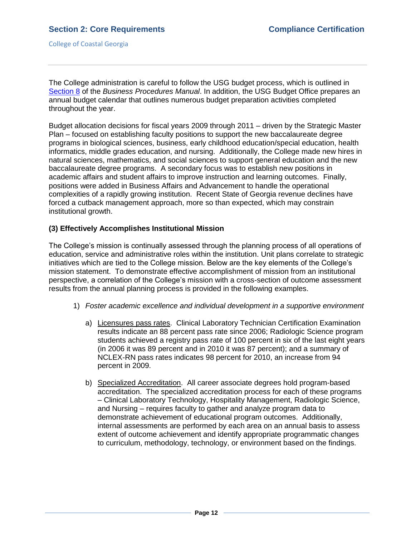The College administration is careful to follow the USG budget process, which is outlined in [Section 8](2.5.oUSGBusinessProceduresManual8.pdf#page=1) of the *Business Procedures Manual*. In addition, the USG Budget Office prepares an annual budget calendar that outlines numerous budget preparation activities completed throughout the year.

Budget allocation decisions for fiscal years 2009 through 2011 – driven by the Strategic Master Plan – focused on establishing faculty positions to support the new baccalaureate degree programs in biological sciences, business, early childhood education/special education, health informatics, middle grades education, and nursing. Additionally, the College made new hires in natural sciences, mathematics, and social sciences to support general education and the new baccalaureate degree programs. A secondary focus was to establish new positions in academic affairs and student affairs to improve instruction and learning outcomes. Finally, positions were added in Business Affairs and Advancement to handle the operational complexities of a rapidly growing institution. Recent State of Georgia revenue declines have forced a cutback management approach, more so than expected, which may constrain institutional growth.

### **(3) Effectively Accomplishes Institutional Mission**

The College's mission is continually assessed through the planning process of all operations of education, service and administrative roles within the institution. Unit plans correlate to strategic initiatives which are tied to the College mission. Below are the key elements of the College's mission statement. To demonstrate effective accomplishment of mission from an institutional perspective, a correlation of the College's mission with a cross-section of outcome assessment results from the annual planning process is provided in the following examples.

- 1) *Foster academic excellence and individual development in a supportive environment*
	- a) Licensures pass rates. Clinical Laboratory Technician Certification Examination results indicate an 88 percent pass rate since 2006; Radiologic Science program students achieved a registry pass rate of 100 percent in six of the last eight years (in 2006 it was 89 percent and in 2010 it was 87 percent); and a summary of NCLEX-RN pass rates indicates 98 percent for 2010, an increase from 94 percent in 2009.
	- b) Specialized Accreditation. All career associate degrees hold program-based accreditation. The specialized accreditation process for each of these programs – Clinical Laboratory Technology, Hospitality Management, Radiologic Science, and Nursing – requires faculty to gather and analyze program data to demonstrate achievement of educational program outcomes. Additionally, internal assessments are performed by each area on an annual basis to assess extent of outcome achievement and identify appropriate programmatic changes to curriculum, methodology, technology, or environment based on the findings.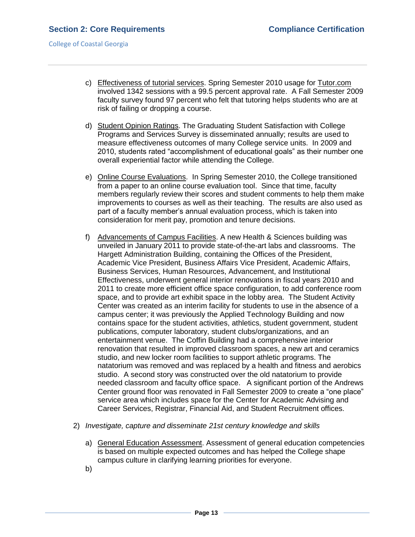- c) Effectiveness of tutorial services. Spring Semester 2010 usage for Tutor.com involved 1342 sessions with a 99.5 percent approval rate. A Fall Semester 2009 faculty survey found 97 percent who felt that tutoring helps students who are at risk of failing or dropping a course.
- d) Student Opinion Ratings. The Graduating Student Satisfaction with College Programs and Services Survey is disseminated annually; results are used to measure effectiveness outcomes of many College service units. In 2009 and 2010, students rated "accomplishment of educational goals" as their number one overall experiential factor while attending the College.
- e) Online Course Evaluations. In Spring Semester 2010, the College transitioned from a paper to an online course evaluation tool. Since that time, faculty members regularly review their scores and student comments to help them make improvements to courses as well as their teaching. The results are also used as part of a faculty member's annual evaluation process, which is taken into consideration for merit pay, promotion and tenure decisions.
- f) Advancements of Campus Facilities. A new Health & Sciences building was unveiled in January 2011 to provide state-of-the-art labs and classrooms. The Hargett Administration Building, containing the Offices of the President, Academic Vice President, Business Affairs Vice President, Academic Affairs, Business Services, Human Resources, Advancement, and Institutional Effectiveness, underwent general interior renovations in fiscal years 2010 and 2011 to create more efficient office space configuration, to add conference room space, and to provide art exhibit space in the lobby area. The Student Activity Center was created as an interim facility for students to use in the absence of a campus center; it was previously the Applied Technology Building and now contains space for the student activities, athletics, student government, student publications, computer laboratory, student clubs/organizations, and an entertainment venue. The Coffin Building had a comprehensive interior renovation that resulted in improved classroom spaces, a new art and ceramics studio, and new locker room facilities to support athletic programs. The natatorium was removed and was replaced by a health and fitness and aerobics studio. A second story was constructed over the old natatorium to provide needed classroom and faculty office space. A significant portion of the Andrews Center ground floor was renovated in Fall Semester 2009 to create a "one place" service area which includes space for the Center for Academic Advising and Career Services, Registrar, Financial Aid, and Student Recruitment offices.
- 2) *Investigate, capture and disseminate 21st century knowledge and skills*
	- a) General Education Assessment. Assessment of general education competencies is based on multiple expected outcomes and has helped the College shape campus culture in clarifying learning priorities for everyone.
	- b)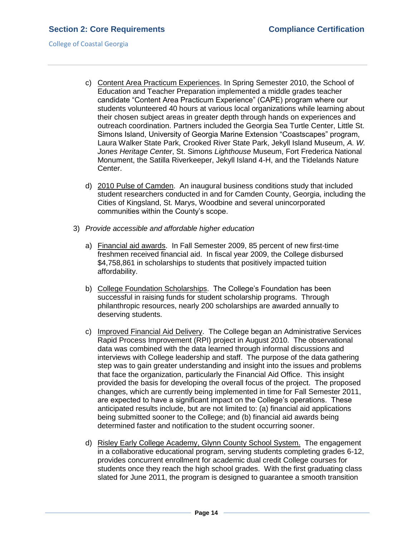- c) Content Area Practicum Experiences. In Spring Semester 2010, the School of Education and Teacher Preparation implemented a middle grades teacher candidate "Content Area Practicum Experience" (CAPE) program where our students volunteered 40 hours at various local organizations while learning about their chosen subject areas in greater depth through hands on experiences and outreach coordination. Partners included the Georgia Sea Turtle Center, Little St. Simons Island, University of Georgia Marine Extension "Coastscapes" program, Laura Walker State Park, Crooked River State Park, Jekyll Island Museum, *A. W. Jones Heritage Center*, St. Simons *Lighthouse* Museum, Fort Frederica National Monument, the Satilla Riverkeeper, Jekyll Island 4-H, and the Tidelands Nature Center.
- d) 2010 Pulse of Camden. An inaugural business conditions study that included student researchers conducted in and for Camden County, Georgia, including the Cities of Kingsland, St. Marys, Woodbine and several unincorporated communities within the County's scope.
- 3) *Provide accessible and affordable higher education*
	- a) Financial aid awards. In Fall Semester 2009, 85 percent of new first-time freshmen received financial aid. In fiscal year 2009, the College disbursed \$4,758,861 in scholarships to students that positively impacted tuition affordability.
	- b) College Foundation Scholarships. The College's Foundation has been successful in raising funds for student scholarship programs. Through philanthropic resources, nearly 200 scholarships are awarded annually to deserving students.
	- c) Improved Financial Aid Delivery. The College began an Administrative Services Rapid Process Improvement (RPI) project in August 2010. The observational data was combined with the data learned through informal discussions and interviews with College leadership and staff. The purpose of the data gathering step was to gain greater understanding and insight into the issues and problems that face the organization, particularly the Financial Aid Office. This insight provided the basis for developing the overall focus of the project. The proposed changes, which are currently being implemented in time for Fall Semester 2011, are expected to have a significant impact on the College's operations. These anticipated results include, but are not limited to: (a) financial aid applications being submitted sooner to the College; and (b) financial aid awards being determined faster and notification to the student occurring sooner.
	- d) Risley Early College Academy, Glynn County School System. The engagement in a collaborative educational program, serving students completing grades 6-12, provides concurrent enrollment for academic dual credit College courses for students once they reach the high school grades. With the first graduating class slated for June 2011, the program is designed to guarantee a smooth transition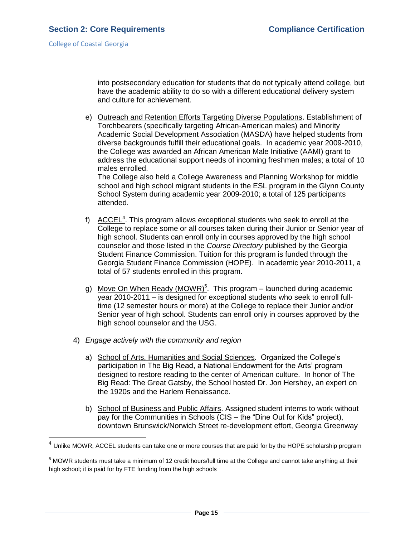into postsecondary education for students that do not typically attend college, but have the academic ability to do so with a different educational delivery system and culture for achievement.

e) Outreach and Retention Efforts Targeting Diverse Populations. Establishment of Torchbearers (specifically targeting African-American males) and Minority Academic Social Development Association (MASDA) have helped students from diverse backgrounds fulfill their educational goals. In academic year 2009-2010, the College was awarded an African American Male Initiative (AAMI) grant to address the educational support needs of incoming freshmen males; a total of 10 males enrolled.

The College also held a College Awareness and Planning Workshop for middle school and high school migrant students in the ESL program in the Glynn County School System during academic year 2009-2010; a total of 125 participants attended.

- f)  $\overline{ACCEL^4}$ . This program allows exceptional students who seek to enroll at the College to replace some or all courses taken during their Junior or Senior year of high school. Students can enroll only in courses approved by the high school counselor and those listed in the *Course Directory* published by the Georgia Student Finance Commission. Tuition for this program is funded through the Georgia Student Finance Commission (HOPE). In academic year 2010-2011, a total of 57 students enrolled in this program.
- g) Move On When Ready (MOWR)<sup>5</sup>. This program launched during academic year 2010-2011 – is designed for exceptional students who seek to enroll fulltime (12 semester hours or more) at the College to replace their Junior and/or Senior year of high school. Students can enroll only in courses approved by the high school counselor and the USG.
- 4) *Engage actively with the community and region*
	- a) School of Arts, Humanities and Social Sciences. Organized the College's participation in The Big Read, a National Endowment for the Arts' program designed to restore reading to the center of American culture. In honor of The Big Read: The Great Gatsby, the School hosted Dr. Jon Hershey, an expert on the 1920s and the Harlem Renaissance.
	- b) School of Business and Public Affairs. Assigned student interns to work without pay for the Communities in Schools (CIS – the "Dine Out for Kids" project), downtown Brunswick/Norwich Street re-development effort, Georgia Greenway

 4 Unlike MOWR, ACCEL students can take one or more courses that are paid for by the HOPE scholarship program

<sup>5</sup> MOWR students must take a minimum of 12 credit hours/full time at the College and cannot take anything at their high school; it is paid for by FTE funding from the high schools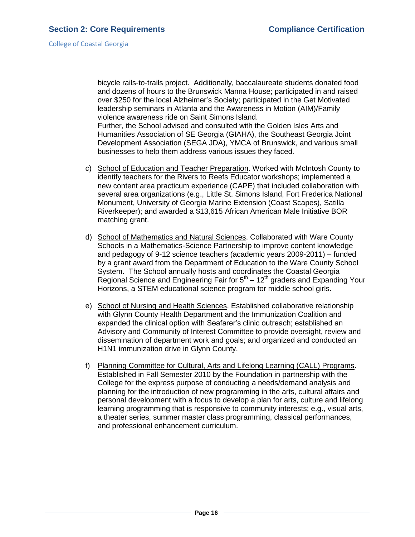bicycle rails-to-trails project. Additionally, baccalaureate students donated food and dozens of hours to the Brunswick Manna House; participated in and raised over \$250 for the local Alzheimer's Society; participated in the Get Motivated leadership seminars in Atlanta and the Awareness in Motion (AIM)/Family violence awareness ride on Saint Simons Island.

Further, the School advised and consulted with the Golden Isles Arts and Humanities Association of SE Georgia (GIAHA), the Southeast Georgia Joint Development Association (SEGA JDA), YMCA of Brunswick, and various small businesses to help them address various issues they faced.

- c) School of Education and Teacher Preparation. Worked with McIntosh County to identify teachers for the Rivers to Reefs Educator workshops; implemented a new content area practicum experience (CAPE) that included collaboration with several area organizations (e.g., Little St. Simons Island, Fort Frederica National Monument, University of Georgia Marine Extension (Coast Scapes), Satilla Riverkeeper); and awarded a \$13,615 African American Male Initiative BOR matching grant.
- d) School of Mathematics and Natural Sciences. Collaborated with Ware County Schools in a Mathematics-Science Partnership to improve content knowledge and pedagogy of 9-12 science teachers (academic years 2009-2011) – funded by a grant award from the Department of Education to the Ware County School System. The School annually hosts and coordinates the Coastal Georgia Regional Science and Engineering Fair for  $5<sup>th</sup> - 12<sup>th</sup>$  graders and Expanding Your Horizons, a STEM educational science program for middle school girls.
- e) School of Nursing and Health Sciences. Established collaborative relationship with Glynn County Health Department and the Immunization Coalition and expanded the clinical option with Seafarer's clinic outreach; established an Advisory and Community of Interest Committee to provide oversight, review and dissemination of department work and goals; and organized and conducted an H1N1 immunization drive in Glynn County.
- f) Planning Committee for Cultural, Arts and Lifelong Learning (CALL) Programs. Established in Fall Semester 2010 by the Foundation in partnership with the College for the express purpose of conducting a needs/demand analysis and planning for the introduction of new programming in the arts, cultural affairs and personal development with a focus to develop a plan for arts, culture and lifelong learning programming that is responsive to community interests; e.g., visual arts, a theater series, summer master class programming, classical performances, and professional enhancement curriculum.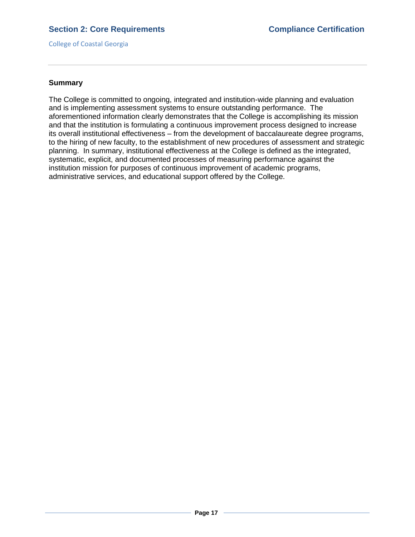College of Coastal Georgia

## **Summary**

The College is committed to ongoing, integrated and institution-wide planning and evaluation and is implementing assessment systems to ensure outstanding performance. The aforementioned information clearly demonstrates that the College is accomplishing its mission and that the institution is formulating a continuous improvement process designed to increase its overall institutional effectiveness – from the development of baccalaureate degree programs, to the hiring of new faculty, to the establishment of new procedures of assessment and strategic planning. In summary, institutional effectiveness at the College is defined as the integrated, systematic, explicit, and documented processes of measuring performance against the institution mission for purposes of continuous improvement of academic programs, administrative services, and educational support offered by the College.